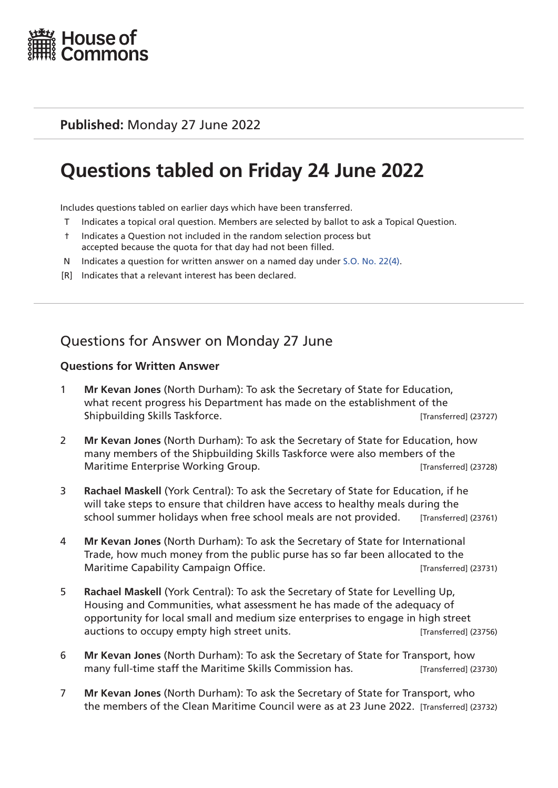

### **Published:** Monday 27 June 2022

# **Questions tabled on Friday 24 June 2022**

Includes questions tabled on earlier days which have been transferred.

- T Indicates a topical oral question. Members are selected by ballot to ask a Topical Question.
- † Indicates a Question not included in the random selection process but accepted because the quota for that day had not been filled.
- N Indicates a question for written answer on a named day under [S.O. No. 22\(4\)](http://publications.parliament.uk/pa/cm201719/cmstords/0004/body.html#22(4)).
- [R] Indicates that a relevant interest has been declared.

# Questions for Answer on Monday 27 June

#### **Questions for Written Answer**

- 1 **Mr Kevan Jones** (North Durham): To ask the Secretary of State for Education, what recent progress his Department has made on the establishment of the Shipbuilding Skills Taskforce. **Example 2008** [Transferred] (23727)
- 2 **Mr Kevan Jones** (North Durham): To ask the Secretary of State for Education, how many members of the Shipbuilding Skills Taskforce were also members of the Maritime Enterprise Working Group. **[19]** Maritime Enterprise Working Group.
- 3 **Rachael Maskell** (York Central): To ask the Secretary of State for Education, if he will take steps to ensure that children have access to healthy meals during the school summer holidays when free school meals are not provided. [Transferred] (23761)
- 4 **Mr Kevan Jones** (North Durham): To ask the Secretary of State for International Trade, how much money from the public purse has so far been allocated to the Maritime Capability Campaign Office. The Capability Campaign Office.
- 5 **Rachael Maskell** (York Central): To ask the Secretary of State for Levelling Up, Housing and Communities, what assessment he has made of the adequacy of opportunity for local small and medium size enterprises to engage in high street auctions to occupy empty high street units. [Transferred] (23756)
- 6 **Mr Kevan Jones** (North Durham): To ask the Secretary of State for Transport, how many full-time staff the Maritime Skills Commission has. [Transferred] (23730)
- 7 **Mr Kevan Jones** (North Durham): To ask the Secretary of State for Transport, who the members of the Clean Maritime Council were as at 23 June 2022. [Transferred] (23732)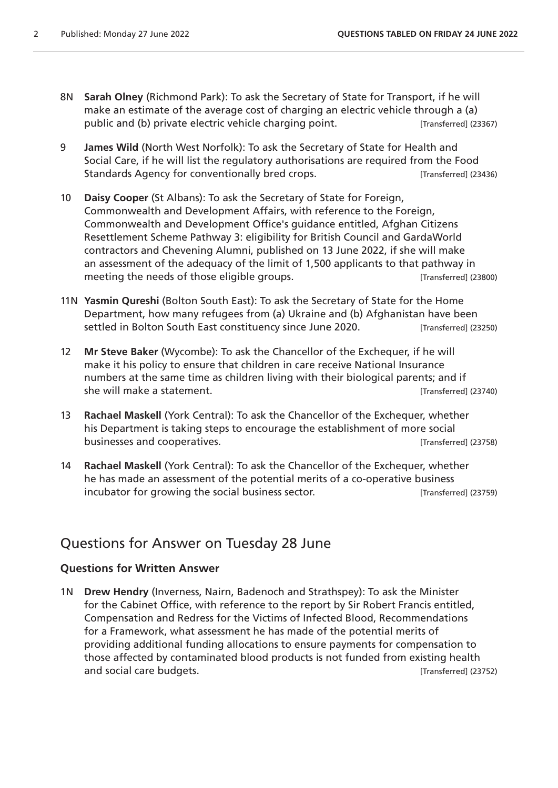- 8N **Sarah Olney** (Richmond Park): To ask the Secretary of State for Transport, if he will make an estimate of the average cost of charging an electric vehicle through a (a) public and (b) private electric vehicle charging point. [Transferred] (23367)
- 9 **James Wild** (North West Norfolk): To ask the Secretary of State for Health and Social Care, if he will list the regulatory authorisations are required from the Food Standards Agency for conventionally bred crops. The integration of  $[Transfered]$  (23436)
- 10 **Daisy Cooper** (St Albans): To ask the Secretary of State for Foreign, Commonwealth and Development Affairs, with reference to the Foreign, Commonwealth and Development Office's guidance entitled, Afghan Citizens Resettlement Scheme Pathway 3: eligibility for British Council and GardaWorld contractors and Chevening Alumni, published on 13 June 2022, if she will make an assessment of the adequacy of the limit of 1,500 applicants to that pathway in meeting the needs of those eligible groups. The meeting the needs of those eligible groups.
- 11N **Yasmin Qureshi** (Bolton South East): To ask the Secretary of State for the Home Department, how many refugees from (a) Ukraine and (b) Afghanistan have been settled in Bolton South East constituency since June 2020. [Transferred] (23250)
- 12 **Mr Steve Baker** (Wycombe): To ask the Chancellor of the Exchequer, if he will make it his policy to ensure that children in care receive National Insurance numbers at the same time as children living with their biological parents; and if she will make a statement. **Example 23740** (Transferred] (23740)
- 13 **Rachael Maskell** (York Central): To ask the Chancellor of the Exchequer, whether his Department is taking steps to encourage the establishment of more social businesses and cooperatives. [Transferred] (23758)
- 14 **Rachael Maskell** (York Central): To ask the Chancellor of the Exchequer, whether he has made an assessment of the potential merits of a co-operative business incubator for growing the social business sector. [Transferred] (23759)

## Questions for Answer on Tuesday 28 June

#### **Questions for Written Answer**

1N **Drew Hendry** (Inverness, Nairn, Badenoch and Strathspey): To ask the Minister for the Cabinet Office, with reference to the report by Sir Robert Francis entitled, Compensation and Redress for the Victims of Infected Blood, Recommendations for a Framework, what assessment he has made of the potential merits of providing additional funding allocations to ensure payments for compensation to those affected by contaminated blood products is not funded from existing health and social care budgets. [Transferred] (23752)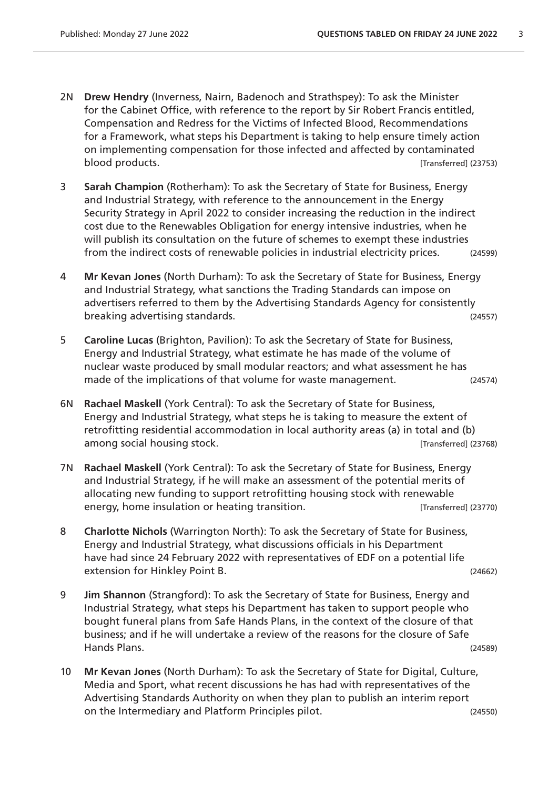- 2N **Drew Hendry** (Inverness, Nairn, Badenoch and Strathspey): To ask the Minister for the Cabinet Office, with reference to the report by Sir Robert Francis entitled, Compensation and Redress for the Victims of Infected Blood, Recommendations for a Framework, what steps his Department is taking to help ensure timely action on implementing compensation for those infected and affected by contaminated blood products. [Transferred] (23753)
- 3 **Sarah Champion** (Rotherham): To ask the Secretary of State for Business, Energy and Industrial Strategy, with reference to the announcement in the Energy Security Strategy in April 2022 to consider increasing the reduction in the indirect cost due to the Renewables Obligation for energy intensive industries, when he will publish its consultation on the future of schemes to exempt these industries from the indirect costs of renewable policies in industrial electricity prices. (24599)
- 4 **Mr Kevan Jones** (North Durham): To ask the Secretary of State for Business, Energy and Industrial Strategy, what sanctions the Trading Standards can impose on advertisers referred to them by the Advertising Standards Agency for consistently breaking advertising standards. (24557)
- 5 **Caroline Lucas** (Brighton, Pavilion): To ask the Secretary of State for Business, Energy and Industrial Strategy, what estimate he has made of the volume of nuclear waste produced by small modular reactors; and what assessment he has made of the implications of that volume for waste management. (24574)
- 6N **Rachael Maskell** (York Central): To ask the Secretary of State for Business, Energy and Industrial Strategy, what steps he is taking to measure the extent of retrofitting residential accommodation in local authority areas (a) in total and (b) among social housing stock. [Transferred] (23768)
- 7N **Rachael Maskell** (York Central): To ask the Secretary of State for Business, Energy and Industrial Strategy, if he will make an assessment of the potential merits of allocating new funding to support retrofitting housing stock with renewable energy, home insulation or heating transition. The interval (23770) contrared (23770)
- 8 **Charlotte Nichols** (Warrington North): To ask the Secretary of State for Business, Energy and Industrial Strategy, what discussions officials in his Department have had since 24 February 2022 with representatives of EDF on a potential life extension for Hinkley Point B. (24662)
- 9 **Jim Shannon** (Strangford): To ask the Secretary of State for Business, Energy and Industrial Strategy, what steps his Department has taken to support people who bought funeral plans from Safe Hands Plans, in the context of the closure of that business; and if he will undertake a review of the reasons for the closure of Safe Hands Plans. (24589)
- 10 **Mr Kevan Jones** (North Durham): To ask the Secretary of State for Digital, Culture, Media and Sport, what recent discussions he has had with representatives of the Advertising Standards Authority on when they plan to publish an interim report on the Intermediary and Platform Principles pilot. (24550)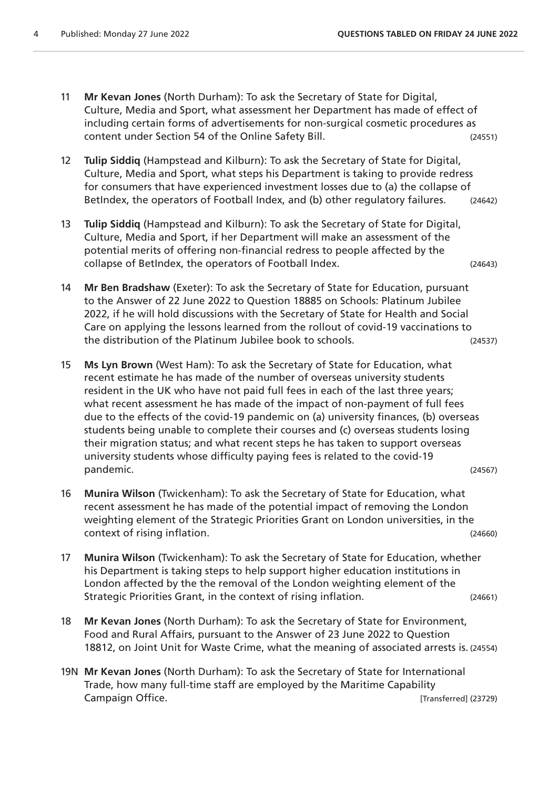- 11 **Mr Kevan Jones** (North Durham): To ask the Secretary of State for Digital, Culture, Media and Sport, what assessment her Department has made of effect of including certain forms of advertisements for non-surgical cosmetic procedures as content under Section 54 of the Online Safety Bill. (24551)
- 12 **Tulip Siddiq** (Hampstead and Kilburn): To ask the Secretary of State for Digital, Culture, Media and Sport, what steps his Department is taking to provide redress for consumers that have experienced investment losses due to (a) the collapse of BetIndex, the operators of Football Index, and (b) other regulatory failures. (24642)
- 13 **Tulip Siddiq** (Hampstead and Kilburn): To ask the Secretary of State for Digital, Culture, Media and Sport, if her Department will make an assessment of the potential merits of offering non-financial redress to people affected by the collapse of BetIndex, the operators of Football Index. (24643)
- 14 **Mr Ben Bradshaw** (Exeter): To ask the Secretary of State for Education, pursuant to the Answer of 22 June 2022 to Question 18885 on Schools: Platinum Jubilee 2022, if he will hold discussions with the Secretary of State for Health and Social Care on applying the lessons learned from the rollout of covid-19 vaccinations to the distribution of the Platinum Jubilee book to schools. (24537)
- 15 **Ms Lyn Brown** (West Ham): To ask the Secretary of State for Education, what recent estimate he has made of the number of overseas university students resident in the UK who have not paid full fees in each of the last three years; what recent assessment he has made of the impact of non-payment of full fees due to the effects of the covid-19 pandemic on (a) university finances, (b) overseas students being unable to complete their courses and (c) overseas students losing their migration status; and what recent steps he has taken to support overseas university students whose difficulty paying fees is related to the covid-19 pandemic. (24567)
- 16 **Munira Wilson** (Twickenham): To ask the Secretary of State for Education, what recent assessment he has made of the potential impact of removing the London weighting element of the Strategic Priorities Grant on London universities, in the context of rising inflation. (24660)
- 17 **Munira Wilson** (Twickenham): To ask the Secretary of State for Education, whether his Department is taking steps to help support higher education institutions in London affected by the the removal of the London weighting element of the Strategic Priorities Grant, in the context of rising inflation. (24661)
- 18 **Mr Kevan Jones** (North Durham): To ask the Secretary of State for Environment, Food and Rural Affairs, pursuant to the Answer of 23 June 2022 to Question 18812, on Joint Unit for Waste Crime, what the meaning of associated arrests is. (24554)
- 19N **Mr Kevan Jones** (North Durham): To ask the Secretary of State for International Trade, how many full-time staff are employed by the Maritime Capability Campaign Office. **Example 23729** (Transferred] (23729)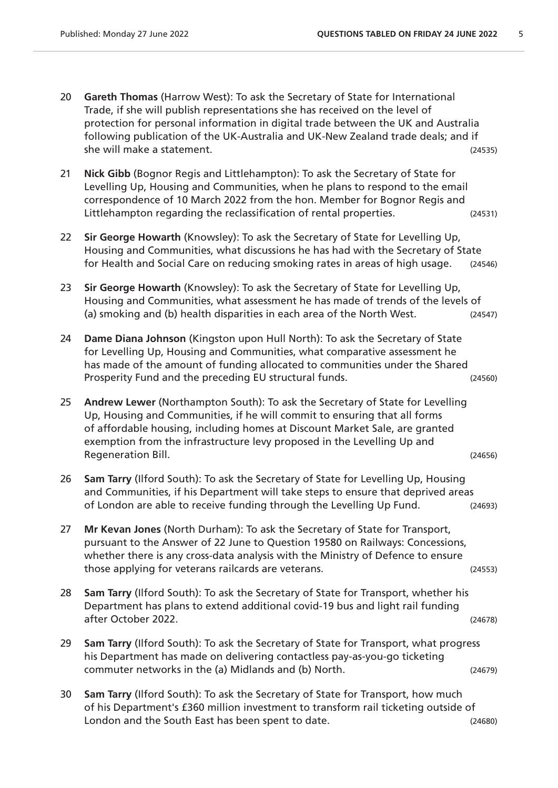- 20 **Gareth Thomas** (Harrow West): To ask the Secretary of State for International Trade, if she will publish representations she has received on the level of protection for personal information in digital trade between the UK and Australia following publication of the UK-Australia and UK-New Zealand trade deals; and if she will make a statement. (24535)
- 21 **Nick Gibb** (Bognor Regis and Littlehampton): To ask the Secretary of State for Levelling Up, Housing and Communities, when he plans to respond to the email correspondence of 10 March 2022 from the hon. Member for Bognor Regis and Littlehampton regarding the reclassification of rental properties. (24531)
- 22 **Sir George Howarth** (Knowsley): To ask the Secretary of State for Levelling Up, Housing and Communities, what discussions he has had with the Secretary of State for Health and Social Care on reducing smoking rates in areas of high usage. (24546)
- 23 **Sir George Howarth** (Knowsley): To ask the Secretary of State for Levelling Up, Housing and Communities, what assessment he has made of trends of the levels of (a) smoking and (b) health disparities in each area of the North West. (24547)
- 24 **Dame Diana Johnson** (Kingston upon Hull North): To ask the Secretary of State for Levelling Up, Housing and Communities, what comparative assessment he has made of the amount of funding allocated to communities under the Shared Prosperity Fund and the preceding EU structural funds. (24560)
- 25 **Andrew Lewer** (Northampton South): To ask the Secretary of State for Levelling Up, Housing and Communities, if he will commit to ensuring that all forms of affordable housing, including homes at Discount Market Sale, are granted exemption from the infrastructure levy proposed in the Levelling Up and Regeneration Bill. (24656)
- 26 **Sam Tarry** (Ilford South): To ask the Secretary of State for Levelling Up, Housing and Communities, if his Department will take steps to ensure that deprived areas of London are able to receive funding through the Levelling Up Fund. (24693)
- 27 **Mr Kevan Jones** (North Durham): To ask the Secretary of State for Transport, pursuant to the Answer of 22 June to Question 19580 on Railways: Concessions, whether there is any cross-data analysis with the Ministry of Defence to ensure those applying for veterans railcards are veterans. (24553)
- 28 **Sam Tarry** (Ilford South): To ask the Secretary of State for Transport, whether his Department has plans to extend additional covid-19 bus and light rail funding after October 2022. (24678)
- 29 **Sam Tarry** (Ilford South): To ask the Secretary of State for Transport, what progress his Department has made on delivering contactless pay-as-you-go ticketing commuter networks in the (a) Midlands and (b) North. (24679)
- 30 **Sam Tarry** (Ilford South): To ask the Secretary of State for Transport, how much of his Department's £360 million investment to transform rail ticketing outside of London and the South East has been spent to date. (24680)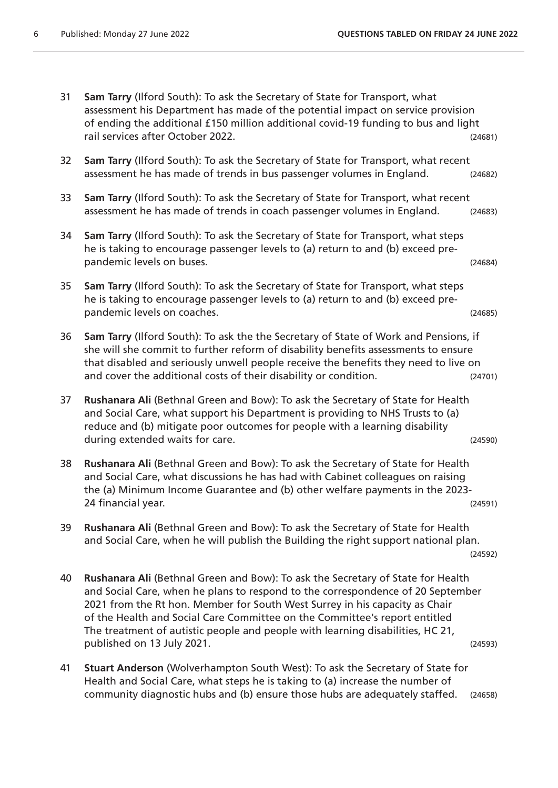| 31 | Sam Tarry (Ilford South): To ask the Secretary of State for Transport, what<br>assessment his Department has made of the potential impact on service provision<br>of ending the additional £150 million additional covid-19 funding to bus and light<br>rail services after October 2022.                                                                                                                                                       | (24681) |
|----|-------------------------------------------------------------------------------------------------------------------------------------------------------------------------------------------------------------------------------------------------------------------------------------------------------------------------------------------------------------------------------------------------------------------------------------------------|---------|
| 32 | Sam Tarry (Ilford South): To ask the Secretary of State for Transport, what recent<br>assessment he has made of trends in bus passenger volumes in England.                                                                                                                                                                                                                                                                                     | (24682) |
| 33 | Sam Tarry (Ilford South): To ask the Secretary of State for Transport, what recent<br>assessment he has made of trends in coach passenger volumes in England.                                                                                                                                                                                                                                                                                   | (24683) |
| 34 | Sam Tarry (Ilford South): To ask the Secretary of State for Transport, what steps<br>he is taking to encourage passenger levels to (a) return to and (b) exceed pre-<br>pandemic levels on buses.                                                                                                                                                                                                                                               | (24684) |
| 35 | Sam Tarry (Ilford South): To ask the Secretary of State for Transport, what steps<br>he is taking to encourage passenger levels to (a) return to and (b) exceed pre-<br>pandemic levels on coaches.                                                                                                                                                                                                                                             | (24685) |
| 36 | Sam Tarry (Ilford South): To ask the the Secretary of State of Work and Pensions, if<br>she will she commit to further reform of disability benefits assessments to ensure<br>that disabled and seriously unwell people receive the benefits they need to live on<br>and cover the additional costs of their disability or condition.                                                                                                           | (24701) |
| 37 | Rushanara Ali (Bethnal Green and Bow): To ask the Secretary of State for Health<br>and Social Care, what support his Department is providing to NHS Trusts to (a)<br>reduce and (b) mitigate poor outcomes for people with a learning disability<br>during extended waits for care.                                                                                                                                                             | (24590) |
| 38 | Rushanara Ali (Bethnal Green and Bow): To ask the Secretary of State for Health<br>and Social Care, what discussions he has had with Cabinet colleagues on raising<br>the (a) Minimum Income Guarantee and (b) other welfare payments in the 2023-<br>24 financial year.                                                                                                                                                                        | (24591) |
| 39 | Rushanara Ali (Bethnal Green and Bow): To ask the Secretary of State for Health<br>and Social Care, when he will publish the Building the right support national plan.                                                                                                                                                                                                                                                                          | (24592) |
| 40 | Rushanara Ali (Bethnal Green and Bow): To ask the Secretary of State for Health<br>and Social Care, when he plans to respond to the correspondence of 20 September<br>2021 from the Rt hon. Member for South West Surrey in his capacity as Chair<br>of the Health and Social Care Committee on the Committee's report entitled<br>The treatment of autistic people and people with learning disabilities, HC 21,<br>published on 13 July 2021. | (24593) |
| 41 | Stuart Anderson (Wolverhampton South West): To ask the Secretary of State for<br>Health and Social Care, what steps he is taking to (a) increase the number of                                                                                                                                                                                                                                                                                  |         |

community diagnostic hubs and (b) ensure those hubs are adequately staffed. (24658)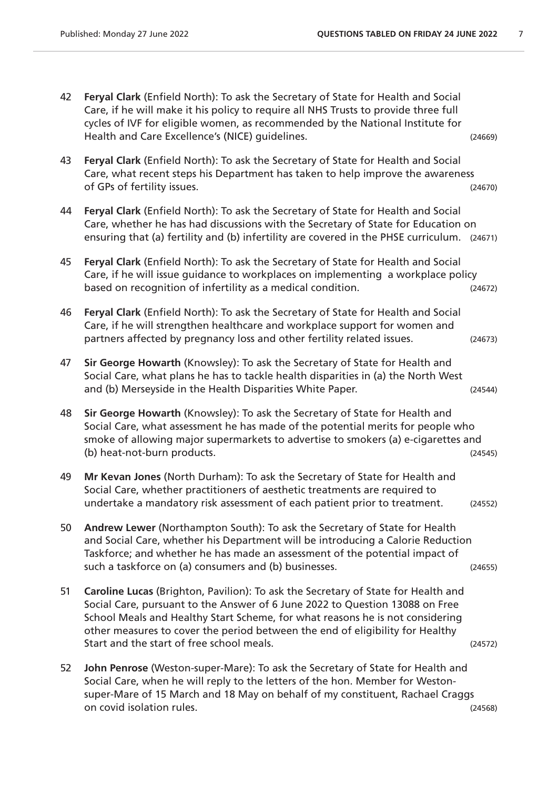42 **Feryal Clark** (Enfield North): To ask the Secretary of State for Health and Social Care, if he will make it his policy to require all NHS Trusts to provide three full cycles of IVF for eligible women, as recommended by the National Institute for Health and Care Excellence's (NICE) guidelines. (24669) 43 **Feryal Clark** (Enfield North): To ask the Secretary of State for Health and Social Care, what recent steps his Department has taken to help improve the awareness of GPs of fertility issues. (24670) 44 **Feryal Clark** (Enfield North): To ask the Secretary of State for Health and Social Care, whether he has had discussions with the Secretary of State for Education on ensuring that (a) fertility and (b) infertility are covered in the PHSE curriculum. (24671) 45 **Feryal Clark** (Enfield North): To ask the Secretary of State for Health and Social Care, if he will issue guidance to workplaces on implementing a workplace policy based on recognition of infertility as a medical condition. (24672) 46 **Feryal Clark** (Enfield North): To ask the Secretary of State for Health and Social Care, if he will strengthen healthcare and workplace support for women and partners affected by pregnancy loss and other fertility related issues. (24673) 47 **Sir George Howarth** (Knowsley): To ask the Secretary of State for Health and Social Care, what plans he has to tackle health disparities in (a) the North West and (b) Merseyside in the Health Disparities White Paper. (24544) 48 **Sir George Howarth** (Knowsley): To ask the Secretary of State for Health and Social Care, what assessment he has made of the potential merits for people who smoke of allowing major supermarkets to advertise to smokers (a) e-cigarettes and (b) heat-not-burn products. (24545) 49 **Mr Kevan Jones** (North Durham): To ask the Secretary of State for Health and Social Care, whether practitioners of aesthetic treatments are required to undertake a mandatory risk assessment of each patient prior to treatment. (24552) 50 **Andrew Lewer** (Northampton South): To ask the Secretary of State for Health and Social Care, whether his Department will be introducing a Calorie Reduction Taskforce; and whether he has made an assessment of the potential impact of such a taskforce on (a) consumers and (b) businesses. (24655)  $(24655)$ 51 **Caroline Lucas** (Brighton, Pavilion): To ask the Secretary of State for Health and Social Care, pursuant to the Answer of 6 June 2022 to Question 13088 on Free School Meals and Healthy Start Scheme, for what reasons he is not considering other measures to cover the period between the end of eligibility for Healthy Start and the start of free school meals. (24572) 52 **John Penrose** (Weston-super-Mare): To ask the Secretary of State for Health and Social Care, when he will reply to the letters of the hon. Member for Westonsuper-Mare of 15 March and 18 May on behalf of my constituent, Rachael Craggs on covid isolation rules. (24568)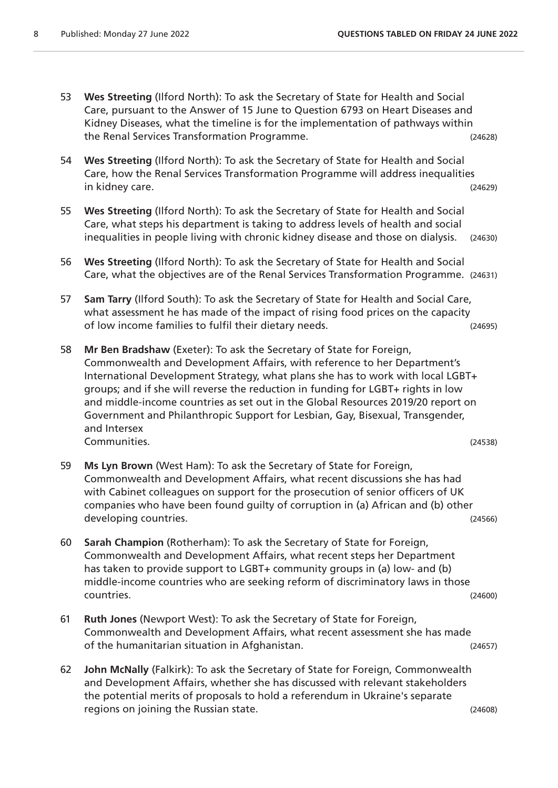- 53 **Wes Streeting** (Ilford North): To ask the Secretary of State for Health and Social Care, pursuant to the Answer of 15 June to Question 6793 on Heart Diseases and Kidney Diseases, what the timeline is for the implementation of pathways within the Renal Services Transformation Programme. (24628)
- 54 **Wes Streeting** (Ilford North): To ask the Secretary of State for Health and Social Care, how the Renal Services Transformation Programme will address inequalities in kidney care. (24629)
- 55 **Wes Streeting** (Ilford North): To ask the Secretary of State for Health and Social Care, what steps his department is taking to address levels of health and social inequalities in people living with chronic kidney disease and those on dialysis. (24630)
- 56 **Wes Streeting** (Ilford North): To ask the Secretary of State for Health and Social Care, what the objectives are of the Renal Services Transformation Programme. (24631)
- 57 **Sam Tarry** (Ilford South): To ask the Secretary of State for Health and Social Care, what assessment he has made of the impact of rising food prices on the capacity of low income families to fulfil their dietary needs. (24695)
- 58 **Mr Ben Bradshaw** (Exeter): To ask the Secretary of State for Foreign, Commonwealth and Development Affairs, with reference to her Department's International Development Strategy, what plans she has to work with local LGBT+ groups; and if she will reverse the reduction in funding for LGBT+ rights in low and middle-income countries as set out in the Global Resources 2019/20 report on Government and Philanthropic Support for Lesbian, Gay, Bisexual, Transgender, and Intersex Communities. (24538)
- 59 **Ms Lyn Brown** (West Ham): To ask the Secretary of State for Foreign, Commonwealth and Development Affairs, what recent discussions she has had with Cabinet colleagues on support for the prosecution of senior officers of UK companies who have been found guilty of corruption in (a) African and (b) other developing countries. The contries of the contries of the contries of the contries of the contries of the contri
- 60 **Sarah Champion** (Rotherham): To ask the Secretary of State for Foreign, Commonwealth and Development Affairs, what recent steps her Department has taken to provide support to LGBT+ community groups in (a) low- and (b) middle-income countries who are seeking reform of discriminatory laws in those countries. (24600)
- 61 **Ruth Jones** (Newport West): To ask the Secretary of State for Foreign, Commonwealth and Development Affairs, what recent assessment she has made of the humanitarian situation in Afghanistan. (24657)
- 62 **John McNally** (Falkirk): To ask the Secretary of State for Foreign, Commonwealth and Development Affairs, whether she has discussed with relevant stakeholders the potential merits of proposals to hold a referendum in Ukraine's separate regions on joining the Russian state. (24608)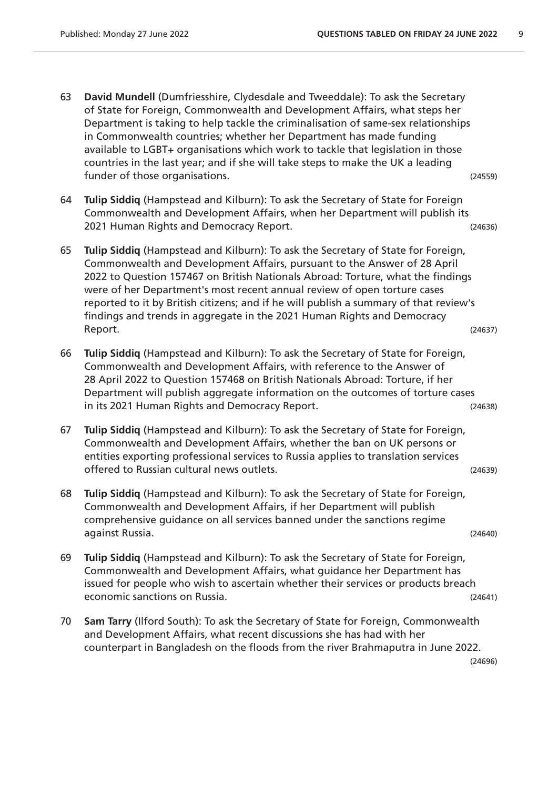- 63 **David Mundell** (Dumfriesshire, Clydesdale and Tweeddale): To ask the Secretary of State for Foreign, Commonwealth and Development Affairs, what steps her Department is taking to help tackle the criminalisation of same-sex relationships in Commonwealth countries; whether her Department has made funding available to LGBT+ organisations which work to tackle that legislation in those countries in the last year; and if she will take steps to make the UK a leading funder of those organisations. The same of the control of the control of the control of the control of the control of the control of the control of the control of the control of the control of the control of the control of
- 64 **Tulip Siddiq** (Hampstead and Kilburn): To ask the Secretary of State for Foreign Commonwealth and Development Affairs, when her Department will publish its 2021 Human Rights and Democracy Report. (24636)
- 65 **Tulip Siddiq** (Hampstead and Kilburn): To ask the Secretary of State for Foreign, Commonwealth and Development Affairs, pursuant to the Answer of 28 April 2022 to Question 157467 on British Nationals Abroad: Torture, what the findings were of her Department's most recent annual review of open torture cases reported to it by British citizens; and if he will publish a summary of that review's findings and trends in aggregate in the 2021 Human Rights and Democracy Report. (24637)
- 66 **Tulip Siddiq** (Hampstead and Kilburn): To ask the Secretary of State for Foreign, Commonwealth and Development Affairs, with reference to the Answer of 28 April 2022 to Question 157468 on British Nationals Abroad: Torture, if her Department will publish aggregate information on the outcomes of torture cases in its 2021 Human Rights and Democracy Report. (24638)
- 67 **Tulip Siddiq** (Hampstead and Kilburn): To ask the Secretary of State for Foreign, Commonwealth and Development Affairs, whether the ban on UK persons or entities exporting professional services to Russia applies to translation services offered to Russian cultural news outlets. (24639)
- 68 **Tulip Siddiq** (Hampstead and Kilburn): To ask the Secretary of State for Foreign, Commonwealth and Development Affairs, if her Department will publish comprehensive guidance on all services banned under the sanctions regime against Russia. (24640)
- 69 **Tulip Siddiq** (Hampstead and Kilburn): To ask the Secretary of State for Foreign, Commonwealth and Development Affairs, what guidance her Department has issued for people who wish to ascertain whether their services or products breach economic sanctions on Russia. (24641)
- 70 **Sam Tarry** (Ilford South): To ask the Secretary of State for Foreign, Commonwealth and Development Affairs, what recent discussions she has had with her counterpart in Bangladesh on the floods from the river Brahmaputra in June 2022.

(24696)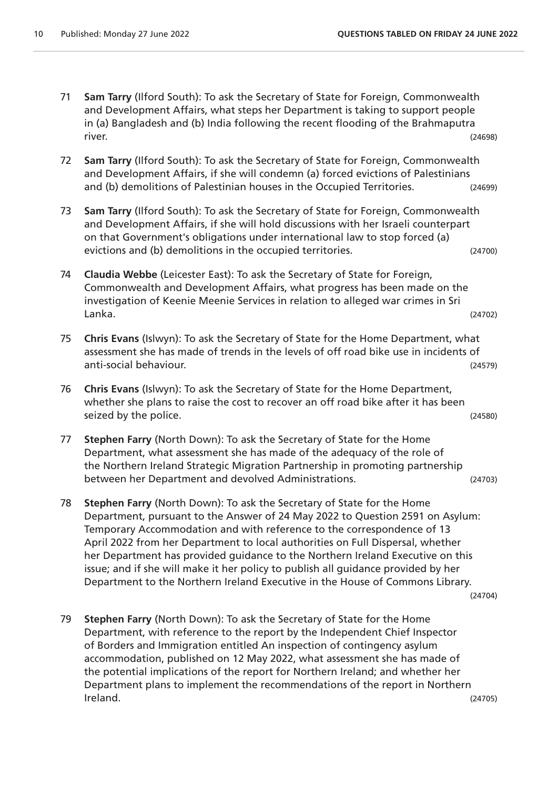- 71 **Sam Tarry** (Ilford South): To ask the Secretary of State for Foreign, Commonwealth and Development Affairs, what steps her Department is taking to support people in (a) Bangladesh and (b) India following the recent flooding of the Brahmaputra river. (24698)
- 72 **Sam Tarry** (Ilford South): To ask the Secretary of State for Foreign, Commonwealth and Development Affairs, if she will condemn (a) forced evictions of Palestinians and (b) demolitions of Palestinian houses in the Occupied Territories. (24699)
- 73 **Sam Tarry** (Ilford South): To ask the Secretary of State for Foreign, Commonwealth and Development Affairs, if she will hold discussions with her Israeli counterpart on that Government's obligations under international law to stop forced (a) evictions and (b) demolitions in the occupied territories. (24700)
- 74 **Claudia Webbe** (Leicester East): To ask the Secretary of State for Foreign, Commonwealth and Development Affairs, what progress has been made on the investigation of Keenie Meenie Services in relation to alleged war crimes in Sri Lanka. (24702)
- 75 **Chris Evans** (Islwyn): To ask the Secretary of State for the Home Department, what assessment she has made of trends in the levels of off road bike use in incidents of anti-social behaviour. (24579)
- 76 **Chris Evans** (Islwyn): To ask the Secretary of State for the Home Department, whether she plans to raise the cost to recover an off road bike after it has been seized by the police. (24580)
- 77 **Stephen Farry** (North Down): To ask the Secretary of State for the Home Department, what assessment she has made of the adequacy of the role of the Northern Ireland Strategic Migration Partnership in promoting partnership between her Department and devolved Administrations. (24703)
- 78 **Stephen Farry** (North Down): To ask the Secretary of State for the Home Department, pursuant to the Answer of 24 May 2022 to Question 2591 on Asylum: Temporary Accommodation and with reference to the correspondence of 13 April 2022 from her Department to local authorities on Full Dispersal, whether her Department has provided guidance to the Northern Ireland Executive on this issue; and if she will make it her policy to publish all guidance provided by her Department to the Northern Ireland Executive in the House of Commons Library.

(24704)

79 **Stephen Farry** (North Down): To ask the Secretary of State for the Home Department, with reference to the report by the Independent Chief Inspector of Borders and Immigration entitled An inspection of contingency asylum accommodation, published on 12 May 2022, what assessment she has made of the potential implications of the report for Northern Ireland; and whether her Department plans to implement the recommendations of the report in Northern Ireland. (24705)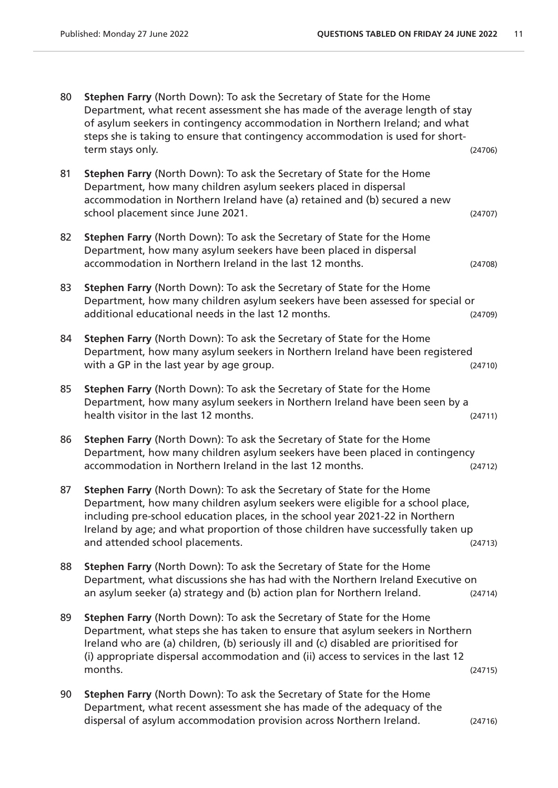| 80 | <b>Stephen Farry (North Down): To ask the Secretary of State for the Home</b><br>Department, what recent assessment she has made of the average length of stay<br>of asylum seekers in contingency accommodation in Northern Ireland; and what<br>steps she is taking to ensure that contingency accommodation is used for short-<br>term stays only.            | (24706) |
|----|------------------------------------------------------------------------------------------------------------------------------------------------------------------------------------------------------------------------------------------------------------------------------------------------------------------------------------------------------------------|---------|
| 81 | Stephen Farry (North Down): To ask the Secretary of State for the Home<br>Department, how many children asylum seekers placed in dispersal<br>accommodation in Northern Ireland have (a) retained and (b) secured a new<br>school placement since June 2021.                                                                                                     | (24707) |
| 82 | Stephen Farry (North Down): To ask the Secretary of State for the Home<br>Department, how many asylum seekers have been placed in dispersal<br>accommodation in Northern Ireland in the last 12 months.                                                                                                                                                          | (24708) |
| 83 | Stephen Farry (North Down): To ask the Secretary of State for the Home<br>Department, how many children asylum seekers have been assessed for special or<br>additional educational needs in the last 12 months.                                                                                                                                                  | (24709) |
| 84 | Stephen Farry (North Down): To ask the Secretary of State for the Home<br>Department, how many asylum seekers in Northern Ireland have been registered<br>with a GP in the last year by age group.                                                                                                                                                               | (24710) |
| 85 | Stephen Farry (North Down): To ask the Secretary of State for the Home<br>Department, how many asylum seekers in Northern Ireland have been seen by a<br>health visitor in the last 12 months.                                                                                                                                                                   | (24711) |
| 86 | Stephen Farry (North Down): To ask the Secretary of State for the Home<br>Department, how many children asylum seekers have been placed in contingency<br>accommodation in Northern Ireland in the last 12 months.                                                                                                                                               | (24712) |
| 87 | Stephen Farry (North Down): To ask the Secretary of State for the Home<br>Department, how many children asylum seekers were eligible for a school place,<br>including pre-school education places, in the school year 2021-22 in Northern<br>Ireland by age; and what proportion of those children have successfully taken up<br>and attended school placements. | (24713) |
| 88 | Stephen Farry (North Down): To ask the Secretary of State for the Home<br>Department, what discussions she has had with the Northern Ireland Executive on<br>an asylum seeker (a) strategy and (b) action plan for Northern Ireland.                                                                                                                             | (24714) |
| 89 | Stephen Farry (North Down): To ask the Secretary of State for the Home<br>Department, what steps she has taken to ensure that asylum seekers in Northern<br>Ireland who are (a) children, (b) seriously ill and (c) disabled are prioritised for<br>(i) appropriate dispersal accommodation and (ii) access to services in the last 12<br>months.                | (24715) |
| 90 | Stephen Farry (North Down): To ask the Secretary of State for the Home<br>Department, what recent assessment she has made of the adequacy of the<br>dispersal of asylum accommodation provision across Northern Ireland.                                                                                                                                         | (24716) |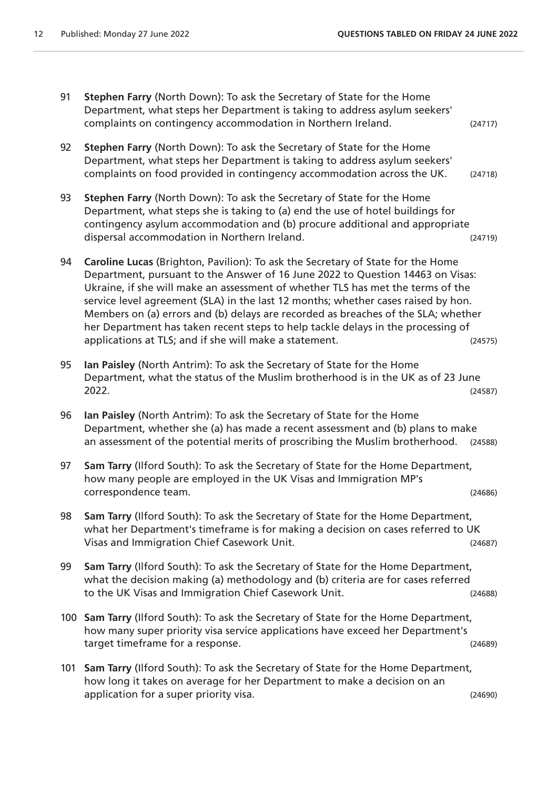- 91 **Stephen Farry** (North Down): To ask the Secretary of State for the Home Department, what steps her Department is taking to address asylum seekers' complaints on contingency accommodation in Northern Ireland. (24717) 92 **Stephen Farry** (North Down): To ask the Secretary of State for the Home Department, what steps her Department is taking to address asylum seekers' complaints on food provided in contingency accommodation across the UK. (24718) 93 **Stephen Farry** (North Down): To ask the Secretary of State for the Home Department, what steps she is taking to (a) end the use of hotel buildings for contingency asylum accommodation and (b) procure additional and appropriate dispersal accommodation in Northern Ireland. (24719) 94 **Caroline Lucas** (Brighton, Pavilion): To ask the Secretary of State for the Home Department, pursuant to the Answer of 16 June 2022 to Question 14463 on Visas: Ukraine, if she will make an assessment of whether TLS has met the terms of the service level agreement (SLA) in the last 12 months; whether cases raised by hon. Members on (a) errors and (b) delays are recorded as breaches of the SLA; whether her Department has taken recent steps to help tackle delays in the processing of applications at TLS; and if she will make a statement. (24575) 95 **Ian Paisley** (North Antrim): To ask the Secretary of State for the Home Department, what the status of the Muslim brotherhood is in the UK as of 23 June 2022. (24587) 96 **Ian Paisley** (North Antrim): To ask the Secretary of State for the Home Department, whether she (a) has made a recent assessment and (b) plans to make an assessment of the potential merits of proscribing the Muslim brotherhood. (24588) 97 **Sam Tarry** (Ilford South): To ask the Secretary of State for the Home Department, how many people are employed in the UK Visas and Immigration MP's correspondence team. (24686) 98 **Sam Tarry** (Ilford South): To ask the Secretary of State for the Home Department, what her Department's timeframe is for making a decision on cases referred to UK Visas and Immigration Chief Casework Unit. (24687) 99 **Sam Tarry** (Ilford South): To ask the Secretary of State for the Home Department, what the decision making (a) methodology and (b) criteria are for cases referred to the UK Visas and Immigration Chief Casework Unit. (24688) 100 **Sam Tarry** (Ilford South): To ask the Secretary of State for the Home Department, how many super priority visa service applications have exceed her Department's target timeframe for a response. (24689) 101 **Sam Tarry** (Ilford South): To ask the Secretary of State for the Home Department,
	- how long it takes on average for her Department to make a decision on an application for a super priority visa.  $(24690)$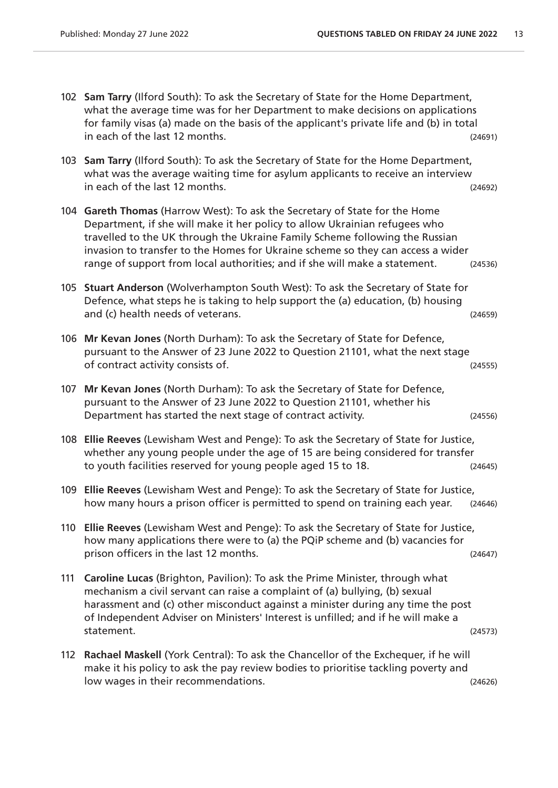|     | 102 Sam Tarry (Ilford South): To ask the Secretary of State for the Home Department,<br>what the average time was for her Department to make decisions on applications<br>for family visas (a) made on the basis of the applicant's private life and (b) in total<br>in each of the last 12 months.                                                                                                       | (24691) |
|-----|-----------------------------------------------------------------------------------------------------------------------------------------------------------------------------------------------------------------------------------------------------------------------------------------------------------------------------------------------------------------------------------------------------------|---------|
|     | 103 Sam Tarry (Ilford South): To ask the Secretary of State for the Home Department,<br>what was the average waiting time for asylum applicants to receive an interview<br>in each of the last 12 months.                                                                                                                                                                                                 | (24692) |
|     | 104 Gareth Thomas (Harrow West): To ask the Secretary of State for the Home<br>Department, if she will make it her policy to allow Ukrainian refugees who<br>travelled to the UK through the Ukraine Family Scheme following the Russian<br>invasion to transfer to the Homes for Ukraine scheme so they can access a wider<br>range of support from local authorities; and if she will make a statement. | (24536) |
|     | 105 Stuart Anderson (Wolverhampton South West): To ask the Secretary of State for<br>Defence, what steps he is taking to help support the (a) education, (b) housing<br>and (c) health needs of veterans.                                                                                                                                                                                                 | (24659) |
| 106 | Mr Kevan Jones (North Durham): To ask the Secretary of State for Defence,<br>pursuant to the Answer of 23 June 2022 to Question 21101, what the next stage<br>of contract activity consists of.                                                                                                                                                                                                           | (24555) |
| 107 | Mr Kevan Jones (North Durham): To ask the Secretary of State for Defence,<br>pursuant to the Answer of 23 June 2022 to Question 21101, whether his<br>Department has started the next stage of contract activity.                                                                                                                                                                                         | (24556) |
|     | 108 Ellie Reeves (Lewisham West and Penge): To ask the Secretary of State for Justice,<br>whether any young people under the age of 15 are being considered for transfer<br>to youth facilities reserved for young people aged 15 to 18.                                                                                                                                                                  | (24645) |
|     | 109 Ellie Reeves (Lewisham West and Penge): To ask the Secretary of State for Justice,<br>how many hours a prison officer is permitted to spend on training each year.                                                                                                                                                                                                                                    | (24646) |
|     | 110 Ellie Reeves (Lewisham West and Penge): To ask the Secretary of State for Justice,<br>how many applications there were to (a) the PQiP scheme and (b) vacancies for<br>prison officers in the last 12 months.                                                                                                                                                                                         | (24647) |
| 111 | Caroline Lucas (Brighton, Pavilion): To ask the Prime Minister, through what<br>mechanism a civil servant can raise a complaint of (a) bullying, (b) sexual<br>harassment and (c) other misconduct against a minister during any time the post<br>of Independent Adviser on Ministers' Interest is unfilled; and if he will make a<br>statement.                                                          | (24573) |
| 112 | Rachael Maskell (York Central): To ask the Chancellor of the Exchequer, if he will<br>make it his policy to ask the pay review bodies to prioritise tackling poverty and<br>low wages in their recommendations.                                                                                                                                                                                           | (24626) |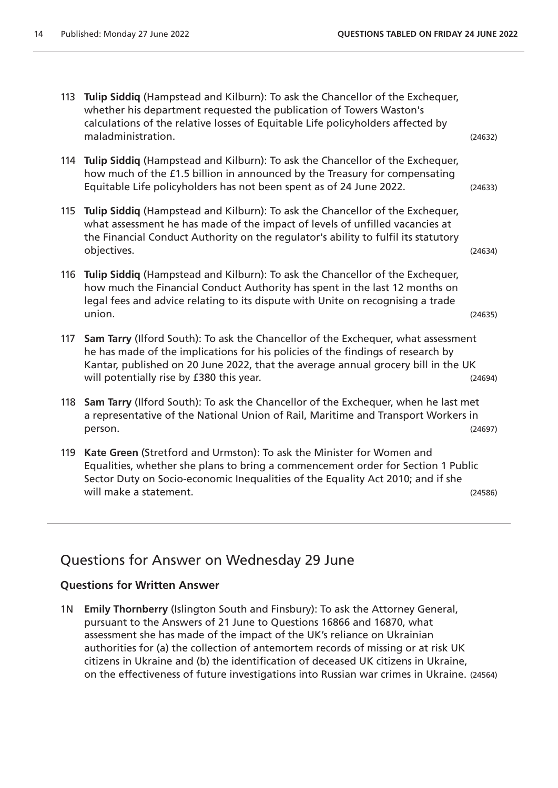113 **Tulip Siddiq** (Hampstead and Kilburn): To ask the Chancellor of the Exchequer, whether his department requested the publication of Towers Waston's calculations of the relative losses of Equitable Life policyholders affected by maladministration. (24632) 114 **Tulip Siddiq** (Hampstead and Kilburn): To ask the Chancellor of the Exchequer, how much of the £1.5 billion in announced by the Treasury for compensating Equitable Life policyholders has not been spent as of 24 June 2022. (24633) 115 **Tulip Siddiq** (Hampstead and Kilburn): To ask the Chancellor of the Exchequer, what assessment he has made of the impact of levels of unfilled vacancies at the Financial Conduct Authority on the regulator's ability to fulfil its statutory objectives. (24634) 116 **Tulip Siddiq** (Hampstead and Kilburn): To ask the Chancellor of the Exchequer, how much the Financial Conduct Authority has spent in the last 12 months on legal fees and advice relating to its dispute with Unite on recognising a trade union. (24635) 117 **Sam Tarry** (Ilford South): To ask the Chancellor of the Exchequer, what assessment he has made of the implications for his policies of the findings of research by Kantar, published on 20 June 2022, that the average annual grocery bill in the UK will potentially rise by £380 this year. (24694) will potentially rise by £380 this year. 118 **Sam Tarry** (Ilford South): To ask the Chancellor of the Exchequer, when he last met a representative of the National Union of Rail, Maritime and Transport Workers in person. (24697) 119 **Kate Green** (Stretford and Urmston): To ask the Minister for Women and Equalities, whether she plans to bring a commencement order for Section 1 Public Sector Duty on Socio-economic Inequalities of the Equality Act 2010; and if she will make a statement. The statement of the statement of the statement of the statement of the statement of the statement of the statement of the statement of the statement of the statement of the statement of the statemen

## Questions for Answer on Wednesday 29 June

#### **Questions for Written Answer**

1N **Emily Thornberry** (Islington South and Finsbury): To ask the Attorney General, pursuant to the Answers of 21 June to Questions 16866 and 16870, what assessment she has made of the impact of the UK's reliance on Ukrainian authorities for (a) the collection of antemortem records of missing or at risk UK citizens in Ukraine and (b) the identification of deceased UK citizens in Ukraine, on the effectiveness of future investigations into Russian war crimes in Ukraine. (24564)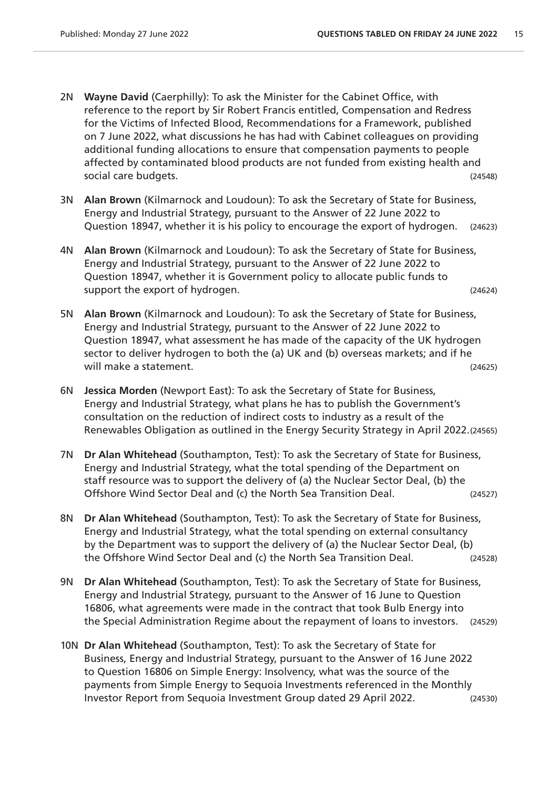- 2N **Wayne David** (Caerphilly): To ask the Minister for the Cabinet Office, with reference to the report by Sir Robert Francis entitled, Compensation and Redress for the Victims of Infected Blood, Recommendations for a Framework, published on 7 June 2022, what discussions he has had with Cabinet colleagues on providing additional funding allocations to ensure that compensation payments to people affected by contaminated blood products are not funded from existing health and social care budgets. (24548)
- 3N **Alan Brown** (Kilmarnock and Loudoun): To ask the Secretary of State for Business, Energy and Industrial Strategy, pursuant to the Answer of 22 June 2022 to Question 18947, whether it is his policy to encourage the export of hydrogen. (24623)
- 4N **Alan Brown** (Kilmarnock and Loudoun): To ask the Secretary of State for Business, Energy and Industrial Strategy, pursuant to the Answer of 22 June 2022 to Question 18947, whether it is Government policy to allocate public funds to support the export of hydrogen. (24624)
- 5N **Alan Brown** (Kilmarnock and Loudoun): To ask the Secretary of State for Business, Energy and Industrial Strategy, pursuant to the Answer of 22 June 2022 to Question 18947, what assessment he has made of the capacity of the UK hydrogen sector to deliver hydrogen to both the (a) UK and (b) overseas markets; and if he will make a statement. The statement of the statement of the statement of the statement of the statement of the statement of the statement of the statement of the statement of the statement of the statement of the statemen
- 6N **Jessica Morden** (Newport East): To ask the Secretary of State for Business, Energy and Industrial Strategy, what plans he has to publish the Government's consultation on the reduction of indirect costs to industry as a result of the Renewables Obligation as outlined in the Energy Security Strategy in April 2022.(24565)
- 7N **Dr Alan Whitehead** (Southampton, Test): To ask the Secretary of State for Business, Energy and Industrial Strategy, what the total spending of the Department on staff resource was to support the delivery of (a) the Nuclear Sector Deal, (b) the Offshore Wind Sector Deal and (c) the North Sea Transition Deal. (24527)
- 8N **Dr Alan Whitehead** (Southampton, Test): To ask the Secretary of State for Business, Energy and Industrial Strategy, what the total spending on external consultancy by the Department was to support the delivery of (a) the Nuclear Sector Deal, (b) the Offshore Wind Sector Deal and (c) the North Sea Transition Deal. (24528)
- 9N **Dr Alan Whitehead** (Southampton, Test): To ask the Secretary of State for Business, Energy and Industrial Strategy, pursuant to the Answer of 16 June to Question 16806, what agreements were made in the contract that took Bulb Energy into the Special Administration Regime about the repayment of loans to investors. (24529)
- 10N **Dr Alan Whitehead** (Southampton, Test): To ask the Secretary of State for Business, Energy and Industrial Strategy, pursuant to the Answer of 16 June 2022 to Question 16806 on Simple Energy: Insolvency, what was the source of the payments from Simple Energy to Sequoia Investments referenced in the Monthly Investor Report from Sequoia Investment Group dated 29 April 2022. (24530)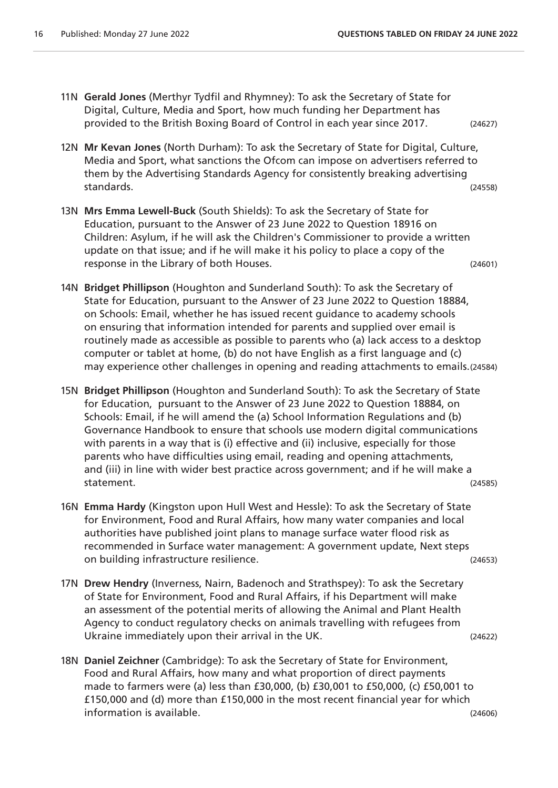- 11N **Gerald Jones** (Merthyr Tydfil and Rhymney): To ask the Secretary of State for Digital, Culture, Media and Sport, how much funding her Department has provided to the British Boxing Board of Control in each year since 2017. (24627)
- 12N **Mr Kevan Jones** (North Durham): To ask the Secretary of State for Digital, Culture, Media and Sport, what sanctions the Ofcom can impose on advertisers referred to them by the Advertising Standards Agency for consistently breaking advertising standards. (24558)
- 13N **Mrs Emma Lewell-Buck** (South Shields): To ask the Secretary of State for Education, pursuant to the Answer of 23 June 2022 to Question 18916 on Children: Asylum, if he will ask the Children's Commissioner to provide a written update on that issue; and if he will make it his policy to place a copy of the response in the Library of both Houses. (24601)
- 14N **Bridget Phillipson** (Houghton and Sunderland South): To ask the Secretary of State for Education, pursuant to the Answer of 23 June 2022 to Question 18884, on Schools: Email, whether he has issued recent guidance to academy schools on ensuring that information intended for parents and supplied over email is routinely made as accessible as possible to parents who (a) lack access to a desktop computer or tablet at home, (b) do not have English as a first language and (c) may experience other challenges in opening and reading attachments to emails.(24584)
- 15N **Bridget Phillipson** (Houghton and Sunderland South): To ask the Secretary of State for Education, pursuant to the Answer of 23 June 2022 to Question 18884, on Schools: Email, if he will amend the (a) School Information Regulations and (b) Governance Handbook to ensure that schools use modern digital communications with parents in a way that is (i) effective and (ii) inclusive, especially for those parents who have difficulties using email, reading and opening attachments, and (iii) in line with wider best practice across government; and if he will make a statement. (24585)
- 16N **Emma Hardy** (Kingston upon Hull West and Hessle): To ask the Secretary of State for Environment, Food and Rural Affairs, how many water companies and local authorities have published joint plans to manage surface water flood risk as recommended in Surface water management: A government update, Next steps on building infrastructure resilience. (24653)
- 17N **Drew Hendry** (Inverness, Nairn, Badenoch and Strathspey): To ask the Secretary of State for Environment, Food and Rural Affairs, if his Department will make an assessment of the potential merits of allowing the Animal and Plant Health Agency to conduct regulatory checks on animals travelling with refugees from Ukraine immediately upon their arrival in the UK. (24622)
- 18N **Daniel Zeichner** (Cambridge): To ask the Secretary of State for Environment, Food and Rural Affairs, how many and what proportion of direct payments made to farmers were (a) less than £30,000, (b) £30,001 to £50,000, (c) £50,001 to £150,000 and (d) more than £150,000 in the most recent financial year for which information is available. (24606)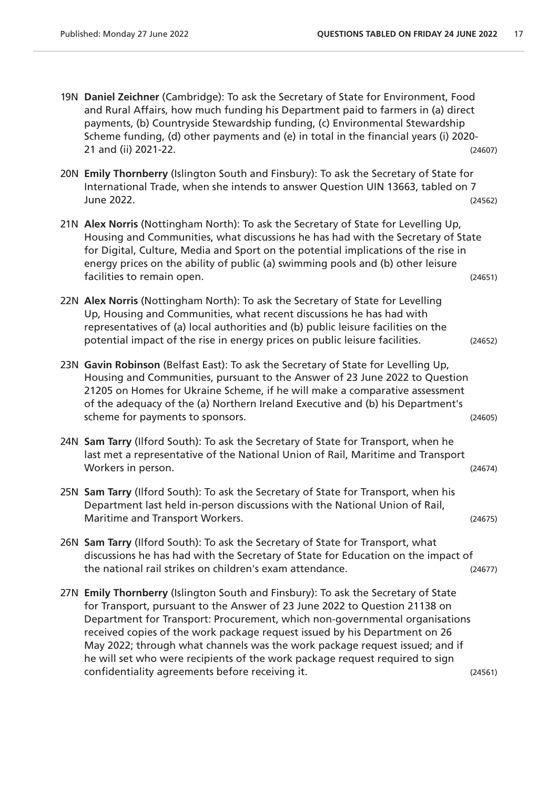| 19N Daniel Zeichner (Cambridge): To ask the Secretary of State for Environment, Food<br>and Rural Affairs, how much funding his Department paid to farmers in (a) direct<br>payments, (b) Countryside Stewardship funding, (c) Environmental Stewardship<br>Scheme funding, (d) other payments and (e) in total in the financial years (i) 2020-<br>21 and (ii) 2021-22.                                                                                                                                                                        | (24607) |
|-------------------------------------------------------------------------------------------------------------------------------------------------------------------------------------------------------------------------------------------------------------------------------------------------------------------------------------------------------------------------------------------------------------------------------------------------------------------------------------------------------------------------------------------------|---------|
| 20N Emily Thornberry (Islington South and Finsbury): To ask the Secretary of State for<br>International Trade, when she intends to answer Question UIN 13663, tabled on 7<br>June 2022.                                                                                                                                                                                                                                                                                                                                                         | (24562) |
| 21N Alex Norris (Nottingham North): To ask the Secretary of State for Levelling Up,<br>Housing and Communities, what discussions he has had with the Secretary of State<br>for Digital, Culture, Media and Sport on the potential implications of the rise in<br>energy prices on the ability of public (a) swimming pools and (b) other leisure<br>facilities to remain open.                                                                                                                                                                  | (24651) |
| 22N Alex Norris (Nottingham North): To ask the Secretary of State for Levelling<br>Up, Housing and Communities, what recent discussions he has had with<br>representatives of (a) local authorities and (b) public leisure facilities on the<br>potential impact of the rise in energy prices on public leisure facilities.                                                                                                                                                                                                                     | (24652) |
| 23N Gavin Robinson (Belfast East): To ask the Secretary of State for Levelling Up,<br>Housing and Communities, pursuant to the Answer of 23 June 2022 to Question<br>21205 on Homes for Ukraine Scheme, if he will make a comparative assessment<br>of the adequacy of the (a) Northern Ireland Executive and (b) his Department's<br>scheme for payments to sponsors.                                                                                                                                                                          | (24605) |
| 24N Sam Tarry (Ilford South): To ask the Secretary of State for Transport, when he<br>last met a representative of the National Union of Rail, Maritime and Transport<br>Workers in person.                                                                                                                                                                                                                                                                                                                                                     | (24674) |
| 25N Sam Tarry (Ilford South): To ask the Secretary of State for Transport, when his<br>Department last held in-person discussions with the National Union of Rail,<br>Maritime and Transport Workers.                                                                                                                                                                                                                                                                                                                                           | (24675) |
| 26N Sam Tarry (Ilford South): To ask the Secretary of State for Transport, what<br>discussions he has had with the Secretary of State for Education on the impact of<br>the national rail strikes on children's exam attendance.                                                                                                                                                                                                                                                                                                                | (24677) |
| 27N Emily Thornberry (Islington South and Finsbury): To ask the Secretary of State<br>for Transport, pursuant to the Answer of 23 June 2022 to Question 21138 on<br>Department for Transport: Procurement, which non-governmental organisations<br>received copies of the work package request issued by his Department on 26<br>May 2022; through what channels was the work package request issued; and if<br>he will set who were recipients of the work package request required to sign<br>confidentiality agreements before receiving it. | (24561) |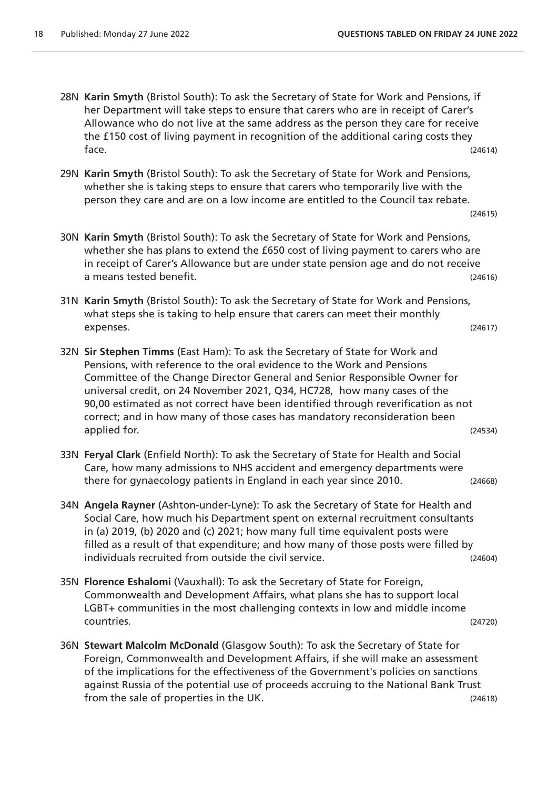- 28N **Karin Smyth** (Bristol South): To ask the Secretary of State for Work and Pensions, if her Department will take steps to ensure that carers who are in receipt of Carer's Allowance who do not live at the same address as the person they care for receive the £150 cost of living payment in recognition of the additional caring costs they  $face.$  (24614)
- 29N **Karin Smyth** (Bristol South): To ask the Secretary of State for Work and Pensions, whether she is taking steps to ensure that carers who temporarily live with the person they care and are on a low income are entitled to the Council tax rebate.

(24615)

- 30N **Karin Smyth** (Bristol South): To ask the Secretary of State for Work and Pensions, whether she has plans to extend the £650 cost of living payment to carers who are in receipt of Carer's Allowance but are under state pension age and do not receive a means tested benefit. (24616)
- 31N **Karin Smyth** (Bristol South): To ask the Secretary of State for Work and Pensions, what steps she is taking to help ensure that carers can meet their monthly expenses. (24617)
- 32N **Sir Stephen Timms** (East Ham): To ask the Secretary of State for Work and Pensions, with reference to the oral evidence to the Work and Pensions Committee of the Change Director General and Senior Responsible Owner for universal credit, on 24 November 2021, Q34, HC728, how many cases of the 90,00 estimated as not correct have been identified through reverification as not correct; and in how many of those cases has mandatory reconsideration been applied for. (24534)
- 33N **Feryal Clark** (Enfield North): To ask the Secretary of State for Health and Social Care, how many admissions to NHS accident and emergency departments were there for gynaecology patients in England in each year since 2010. (24668)
- 34N **Angela Rayner** (Ashton-under-Lyne): To ask the Secretary of State for Health and Social Care, how much his Department spent on external recruitment consultants in (a) 2019, (b) 2020 and (c) 2021; how many full time equivalent posts were filled as a result of that expenditure; and how many of those posts were filled by individuals recruited from outside the civil service. (24604)
- 35N **Florence Eshalomi** (Vauxhall): To ask the Secretary of State for Foreign, Commonwealth and Development Affairs, what plans she has to support local LGBT+ communities in the most challenging contexts in low and middle income countries. (24720)
- 36N **Stewart Malcolm McDonald** (Glasgow South): To ask the Secretary of State for Foreign, Commonwealth and Development Affairs, if she will make an assessment of the implications for the effectiveness of the Government's policies on sanctions against Russia of the potential use of proceeds accruing to the National Bank Trust from the sale of properties in the UK. (24618)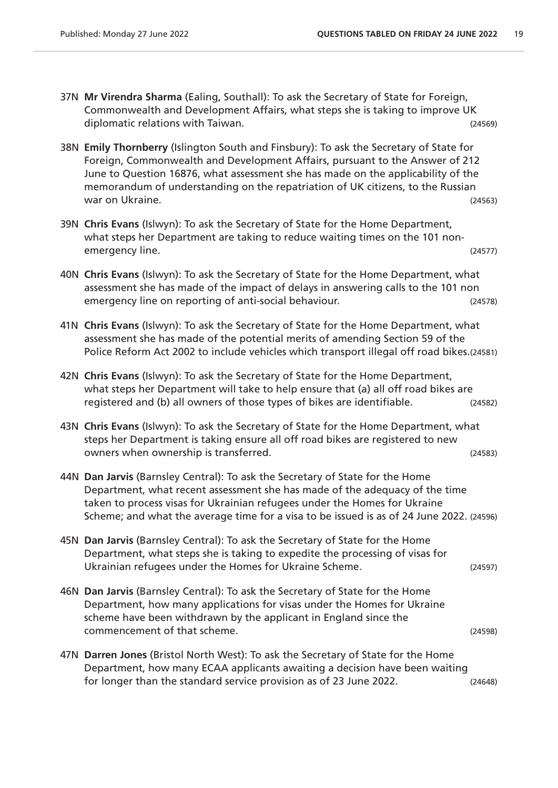- 37N **Mr Virendra Sharma** (Ealing, Southall): To ask the Secretary of State for Foreign, Commonwealth and Development Affairs, what steps she is taking to improve UK diplomatic relations with Taiwan. (24569)
- 38N **Emily Thornberry** (Islington South and Finsbury): To ask the Secretary of State for Foreign, Commonwealth and Development Affairs, pursuant to the Answer of 212 June to Question 16876, what assessment she has made on the applicability of the memorandum of understanding on the repatriation of UK citizens, to the Russian war on Ukraine. (24563)
- 39N **Chris Evans** (Islwyn): To ask the Secretary of State for the Home Department, what steps her Department are taking to reduce waiting times on the 101 nonemergency line. (24577)
- 40N **Chris Evans** (Islwyn): To ask the Secretary of State for the Home Department, what assessment she has made of the impact of delays in answering calls to the 101 non emergency line on reporting of anti-social behaviour. (24578)
- 41N **Chris Evans** (Islwyn): To ask the Secretary of State for the Home Department, what assessment she has made of the potential merits of amending Section 59 of the Police Reform Act 2002 to include vehicles which transport illegal off road bikes.(24581)
- 42N **Chris Evans** (Islwyn): To ask the Secretary of State for the Home Department, what steps her Department will take to help ensure that (a) all off road bikes are registered and (b) all owners of those types of bikes are identifiable. (24582)
- 43N **Chris Evans** (Islwyn): To ask the Secretary of State for the Home Department, what steps her Department is taking ensure all off road bikes are registered to new owners when ownership is transferred. (24583)
- 44N **Dan Jarvis** (Barnsley Central): To ask the Secretary of State for the Home Department, what recent assessment she has made of the adequacy of the time taken to process visas for Ukrainian refugees under the Homes for Ukraine Scheme; and what the average time for a visa to be issued is as of 24 June 2022. (24596)
- 45N **Dan Jarvis** (Barnsley Central): To ask the Secretary of State for the Home Department, what steps she is taking to expedite the processing of visas for Ukrainian refugees under the Homes for Ukraine Scheme. (24597)
- 46N **Dan Jarvis** (Barnsley Central): To ask the Secretary of State for the Home Department, how many applications for visas under the Homes for Ukraine scheme have been withdrawn by the applicant in England since the commencement of that scheme. (24598)
- 47N **Darren Jones** (Bristol North West): To ask the Secretary of State for the Home Department, how many ECAA applicants awaiting a decision have been waiting for longer than the standard service provision as of 23 June 2022. (24648)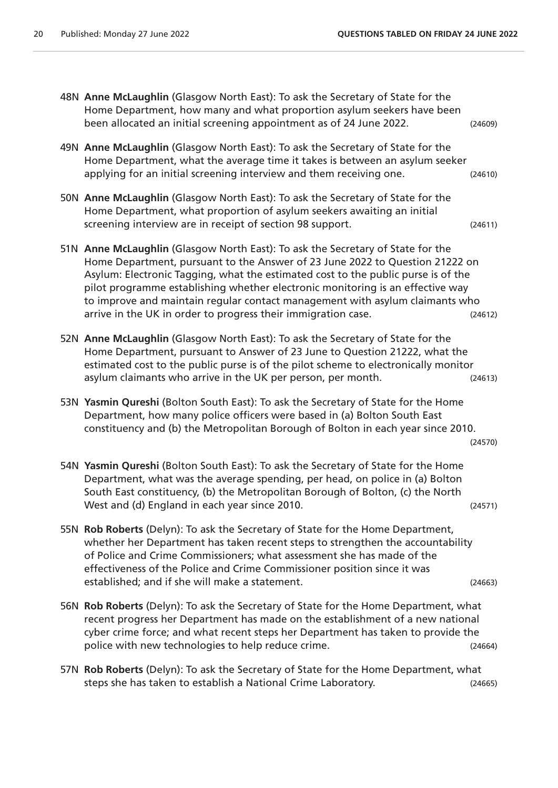| 48N Anne McLaughlin (Glasgow North East): To ask the Secretary of State for the<br>Home Department, how many and what proportion asylum seekers have been<br>been allocated an initial screening appointment as of 24 June 2022.                                                                                                                                                                                                                                                        | (24609) |
|-----------------------------------------------------------------------------------------------------------------------------------------------------------------------------------------------------------------------------------------------------------------------------------------------------------------------------------------------------------------------------------------------------------------------------------------------------------------------------------------|---------|
| 49N Anne McLaughlin (Glasgow North East): To ask the Secretary of State for the<br>Home Department, what the average time it takes is between an asylum seeker<br>applying for an initial screening interview and them receiving one.                                                                                                                                                                                                                                                   | (24610) |
| 50N Anne McLaughlin (Glasgow North East): To ask the Secretary of State for the<br>Home Department, what proportion of asylum seekers awaiting an initial<br>screening interview are in receipt of section 98 support.                                                                                                                                                                                                                                                                  | (24611) |
| 51N Anne McLaughlin (Glasgow North East): To ask the Secretary of State for the<br>Home Department, pursuant to the Answer of 23 June 2022 to Question 21222 on<br>Asylum: Electronic Tagging, what the estimated cost to the public purse is of the<br>pilot programme establishing whether electronic monitoring is an effective way<br>to improve and maintain regular contact management with asylum claimants who<br>arrive in the UK in order to progress their immigration case. | (24612) |
| 52N Anne McLaughlin (Glasgow North East): To ask the Secretary of State for the<br>Home Department, pursuant to Answer of 23 June to Question 21222, what the<br>estimated cost to the public purse is of the pilot scheme to electronically monitor<br>asylum claimants who arrive in the UK per person, per month.                                                                                                                                                                    | (24613) |
| 53N Yasmin Qureshi (Bolton South East): To ask the Secretary of State for the Home<br>Department, how many police officers were based in (a) Bolton South East<br>constituency and (b) the Metropolitan Borough of Bolton in each year since 2010.                                                                                                                                                                                                                                      | (24570) |
| 54N Yasmin Qureshi (Bolton South East): To ask the Secretary of State for the Home<br>Department, what was the average spending, per head, on police in (a) Bolton<br>South East constituency, (b) the Metropolitan Borough of Bolton, (c) the North<br>West and (d) England in each year since 2010.                                                                                                                                                                                   | (24571) |
| 55N Rob Roberts (Delyn): To ask the Secretary of State for the Home Department,<br>whether her Department has taken recent steps to strengthen the accountability<br>of Police and Crime Commissioners; what assessment she has made of the<br>effectiveness of the Police and Crime Commissioner position since it was<br>established; and if she will make a statement.                                                                                                               | (24663) |
| 56N Rob Roberts (Delyn): To ask the Secretary of State for the Home Department, what<br>recent progress her Department has made on the establishment of a new national<br>cyber crime force; and what recent steps her Department has taken to provide the<br>police with new technologies to help reduce crime.                                                                                                                                                                        | (24664) |
| 57N Rob Roberts (Delyn): To ask the Secretary of State for the Home Department, what<br>steps she has taken to establish a National Crime Laboratory.                                                                                                                                                                                                                                                                                                                                   | (24665) |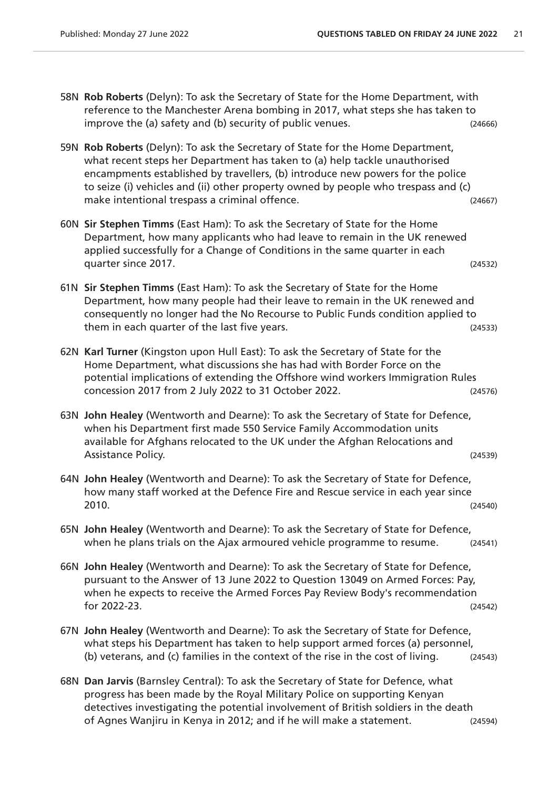58N **Rob Roberts** (Delyn): To ask the Secretary of State for the Home Department, with reference to the Manchester Arena bombing in 2017, what steps she has taken to improve the (a) safety and (b) security of public venues. (24666) 59N **Rob Roberts** (Delyn): To ask the Secretary of State for the Home Department, what recent steps her Department has taken to (a) help tackle unauthorised encampments established by travellers, (b) introduce new powers for the police to seize (i) vehicles and (ii) other property owned by people who trespass and (c) make intentional trespass a criminal offence. (24667) 60N **Sir Stephen Timms** (East Ham): To ask the Secretary of State for the Home Department, how many applicants who had leave to remain in the UK renewed applied successfully for a Change of Conditions in the same quarter in each quarter since 2017. (24532) 61N **Sir Stephen Timms** (East Ham): To ask the Secretary of State for the Home Department, how many people had their leave to remain in the UK renewed and consequently no longer had the No Recourse to Public Funds condition applied to them in each quarter of the last five years. (24533) 62N **Karl Turner** (Kingston upon Hull East): To ask the Secretary of State for the Home Department, what discussions she has had with Border Force on the potential implications of extending the Offshore wind workers Immigration Rules concession 2017 from 2 July 2022 to 31 October 2022. (24576) 63N **John Healey** (Wentworth and Dearne): To ask the Secretary of State for Defence, when his Department first made 550 Service Family Accommodation units available for Afghans relocated to the UK under the Afghan Relocations and Assistance Policy. (24539) 64N **John Healey** (Wentworth and Dearne): To ask the Secretary of State for Defence, how many staff worked at the Defence Fire and Rescue service in each year since 2010. (24540) 65N **John Healey** (Wentworth and Dearne): To ask the Secretary of State for Defence, when he plans trials on the Ajax armoured vehicle programme to resume. (24541) 66N **John Healey** (Wentworth and Dearne): To ask the Secretary of State for Defence, pursuant to the Answer of 13 June 2022 to Question 13049 on Armed Forces: Pay, when he expects to receive the Armed Forces Pay Review Body's recommendation for 2022-23. (24542) 67N **John Healey** (Wentworth and Dearne): To ask the Secretary of State for Defence, what steps his Department has taken to help support armed forces (a) personnel, (b) veterans, and (c) families in the context of the rise in the cost of living. (24543) 68N **Dan Jarvis** (Barnsley Central): To ask the Secretary of State for Defence, what progress has been made by the Royal Military Police on supporting Kenyan detectives investigating the potential involvement of British soldiers in the death

of Agnes Wanjiru in Kenya in 2012; and if he will make a statement. (24594)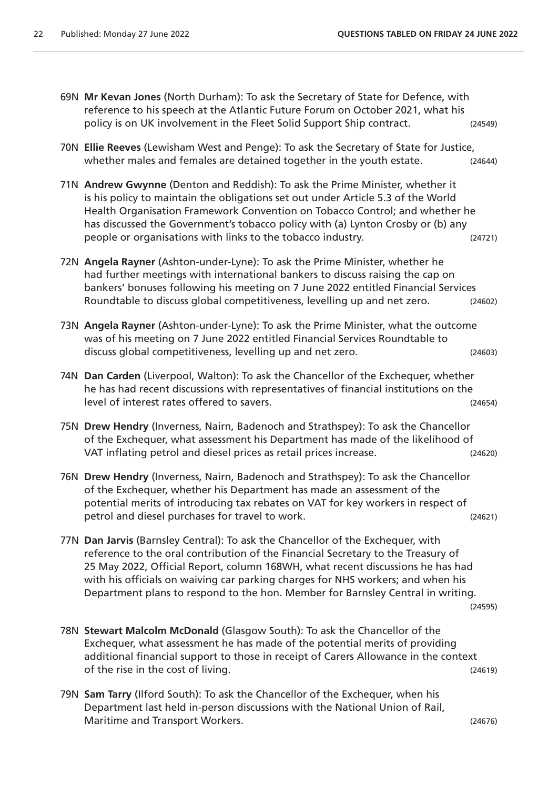- 69N **Mr Kevan Jones** (North Durham): To ask the Secretary of State for Defence, with reference to his speech at the Atlantic Future Forum on October 2021, what his policy is on UK involvement in the Fleet Solid Support Ship contract. (24549) 70N **Ellie Reeves** (Lewisham West and Penge): To ask the Secretary of State for Justice, whether males and females are detained together in the youth estate. (24644) 71N **Andrew Gwynne** (Denton and Reddish): To ask the Prime Minister, whether it is his policy to maintain the obligations set out under Article 5.3 of the World Health Organisation Framework Convention on Tobacco Control; and whether he has discussed the Government's tobacco policy with (a) Lynton Crosby or (b) any people or organisations with links to the tobacco industry. (24721) 72N **Angela Rayner** (Ashton-under-Lyne): To ask the Prime Minister, whether he had further meetings with international bankers to discuss raising the cap on bankers' bonuses following his meeting on 7 June 2022 entitled Financial Services Roundtable to discuss global competitiveness, levelling up and net zero. (24602) 73N **Angela Rayner** (Ashton-under-Lyne): To ask the Prime Minister, what the outcome was of his meeting on 7 June 2022 entitled Financial Services Roundtable to discuss global competitiveness, levelling up and net zero. (24603) 74N **Dan Carden** (Liverpool, Walton): To ask the Chancellor of the Exchequer, whether he has had recent discussions with representatives of financial institutions on the level of interest rates offered to savers. (24654) 75N **Drew Hendry** (Inverness, Nairn, Badenoch and Strathspey): To ask the Chancellor of the Exchequer, what assessment his Department has made of the likelihood of VAT inflating petrol and diesel prices as retail prices increase. (24620) 76N **Drew Hendry** (Inverness, Nairn, Badenoch and Strathspey): To ask the Chancellor of the Exchequer, whether his Department has made an assessment of the potential merits of introducing tax rebates on VAT for key workers in respect of petrol and diesel purchases for travel to work. (24621) 77N **Dan Jarvis** (Barnsley Central): To ask the Chancellor of the Exchequer, with reference to the oral contribution of the Financial Secretary to the Treasury of 25 May 2022, Official Report, column 168WH, what recent discussions he has had with his officials on waiving car parking charges for NHS workers; and when his Department plans to respond to the hon. Member for Barnsley Central in writing. (24595) 78N **Stewart Malcolm McDonald** (Glasgow South): To ask the Chancellor of the Exchequer, what assessment he has made of the potential merits of providing additional financial support to those in receipt of Carers Allowance in the context of the rise in the cost of living. (24619)
	- 79N **Sam Tarry** (Ilford South): To ask the Chancellor of the Exchequer, when his Department last held in-person discussions with the National Union of Rail, Maritime and Transport Workers. (24676)